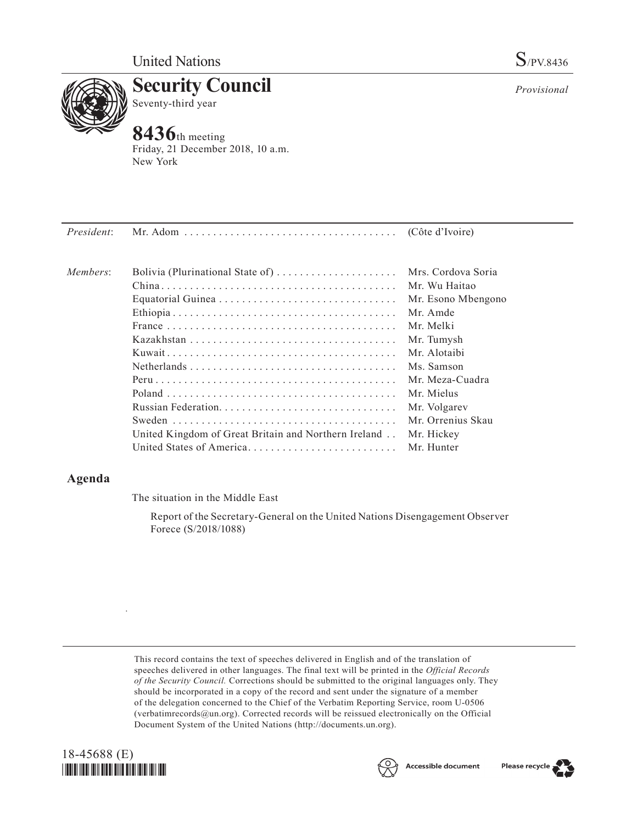

**Security Council** Seventy-third year

# **8436**th meeting

Friday, 21 December 2018, 10 a.m. New York

| President: |                                                      | (Côte d'Ivoire)    |
|------------|------------------------------------------------------|--------------------|
| Members:   | Bolivia (Plurinational State of)                     | Mrs. Cordova Soria |
|            |                                                      | Mr. Wu Haitao      |
|            |                                                      | Mr. Esono Mbengono |
|            |                                                      | Mr. Amde           |
|            |                                                      | Mr Melki           |
|            |                                                      | Mr. Tumysh         |
|            |                                                      | Mr. Alotaibi       |
|            |                                                      | Ms. Samson         |
|            |                                                      | Mr. Meza-Cuadra    |
|            |                                                      | Mr. Mielus         |
|            |                                                      | Mr. Volgarev       |
|            |                                                      | Mr. Orrenius Skau  |
|            | United Kingdom of Great Britain and Northern Ireland | Mr. Hickey         |
|            | United States of America                             | Mr. Hunter         |
|            |                                                      |                    |

## **Agenda**

The situation in the Middle East

Report of the Secretary-General on the United Nations Disengagement Observer Forece (S/2018/1088)

This record contains the text of speeches delivered in English and of the translation of speeches delivered in other languages. The final text will be printed in the *Official Records of the Security Council.* Corrections should be submitted to the original languages only. They should be incorporated in a copy of the record and sent under the signature of a member of the delegation concerned to the Chief of the Verbatim Reporting Service, room U-0506 (verbatimrecords $@un.org$ ). Corrected records will be reissued electronically on the Official Document System of the United Nations [\(http://documents.un.org\)](http://documents.un.org).



.





*Provisional*